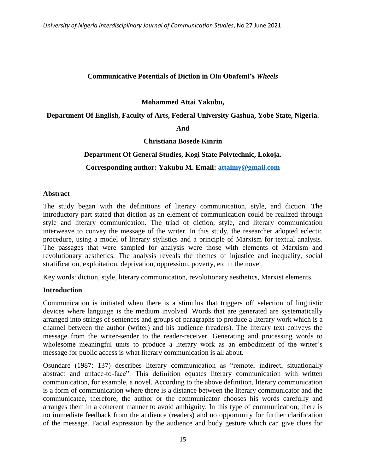### **Communicative Potentials of Diction in Olu Obafemi's** *Wheels*

**Mohammed Attai Yakubu,**

**Department Of English, Faculty of Arts, Federal University Gashua, Yobe State, Nigeria.**

**And**

**Christiana Bosede Kinrin**

### **Department Of General Studies, Kogi State Polytechnic, Lokoja.**

# **Corresponding author: Yakubu M. Email: [attaimy@gmail.com](mailto:attaimy@gmail.com)**

#### **Abstract**

The study began with the definitions of literary communication, style, and diction. The introductory part stated that diction as an element of communication could be realized through style and literary communication. The triad of diction, style, and literary communication interweave to convey the message of the writer. In this study, the researcher adopted eclectic procedure, using a model of literary stylistics and a principle of Marxism for textual analysis. The passages that were sampled for analysis were those with elements of Marxism and revolutionary aesthetics. The analysis reveals the themes of injustice and inequality, social stratification, exploitation, deprivation, oppression, poverty, etc in the novel.

Key words: diction, style, literary communication, revolutionary aesthetics, Marxist elements.

### **Introduction**

Communication is initiated when there is a stimulus that triggers off selection of linguistic devices where language is the medium involved. Words that are generated are systematically arranged into strings of sentences and groups of paragraphs to produce a literary work which is a channel between the author (writer) and his audience (readers). The literary text conveys the message from the writer-sender to the reader-receiver. Generating and processing words to wholesome meaningful units to produce a literary work as an embodiment of the writer's message for public access is what literary communication is all about.

Osundare (1987: 137) describes literary communication as "remote, indirect, situationally abstract and unface-to-face". This definition equates literary communication with written communication, for example, a novel. According to the above definition, literary communication is a form of communication where there is a distance between the literary communicator and the communicatee, therefore, the author or the communicator chooses his words carefully and arranges them in a coherent manner to avoid ambiguity. In this type of communication, there is no immediate feedback from the audience (readers) and no opportunity for further clarification of the message. Facial expression by the audience and body gesture which can give clues for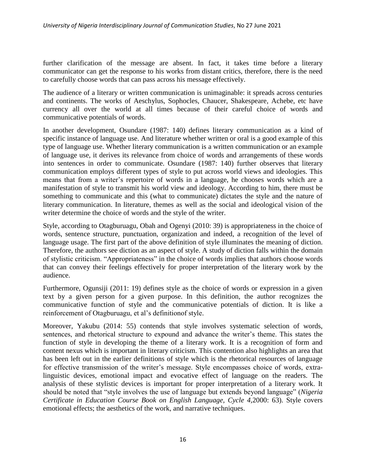further clarification of the message are absent. In fact, it takes time before a literary communicator can get the response to his works from distant critics, therefore, there is the need to carefully choose words that can pass across his message effectively.

The audience of a literary or written communication is unimaginable: it spreads across centuries and continents. The works of Aeschylus, Sophocles, Chaucer, Shakespeare, Achebe, etc have currency all over the world at all times because of their careful choice of words and communicative potentials of words.

In another development, Osundare (1987: 140) defines literary communication as a kind of specific instance of language use. And literature whether written or oral is a good example of this type of language use. Whether literary communication is a written communication or an example of language use, it derives its relevance from choice of words and arrangements of these words into sentences in order to communicate. Osundare (1987: 140) further observes that literary communication employs different types of style to put across world views and ideologies. This means that from a writer"s repertoire of words in a language, he chooses words which are a manifestation of style to transmit his world view and ideology. According to him, there must be something to communicate and this (what to communicate) dictates the style and the nature of literary communication. In literature, themes as well as the social and ideological vision of the writer determine the choice of words and the style of the writer.

Style, according to Otagburuagu, Obah and Ogenyi (2010: 39) is appropriateness in the choice of words, sentence structure, punctuation, organization and indeed, a recognition of the level of language usage. The first part of the above definition of style illuminates the meaning of diction. Therefore, the authors see diction as an aspect of style. A study of diction falls within the domain of stylistic criticism. "Appropriateness" in the choice of words implies that authors choose words that can convey their feelings effectively for proper interpretation of the literary work by the audience.

Furthermore, Ogunsiji (2011: 19) defines style as the choice of words or expression in a given text by a given person for a given purpose. In this definition, the author recognizes the communicative function of style and the communicative potentials of diction. It is like a reinforcement of Otagburuagu, et al"s definitionof style.

Moreover, Yakubu (2014: 55) contends that style involves systematic selection of words, sentences, and rhetorical structure to expound and advance the writer"s theme. This states the function of style in developing the theme of a literary work. It is a recognition of form and content nexus which is important in literary criticism. This contention also highlights an area that has been left out in the earlier definitions of style which is the rhetorical resources of language for effective transmission of the writer"s message. Style encompasses choice of words, extralinguistic devices, emotional impact and evocative effect of language on the readers. The analysis of these stylistic devices is important for proper interpretation of a literary work. It should be noted that "style involves the use of language but extends beyond language" (*Nigeria Certificate in Education Course Book on English Language, Cycle 4,*2000: 63). Style covers emotional effects; the aesthetics of the work, and narrative techniques.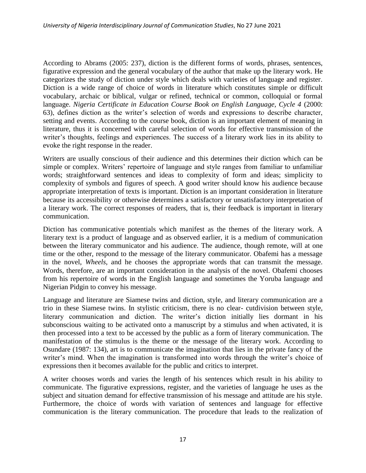According to Abrams (2005: 237), diction is the different forms of words, phrases, sentences, figurative expression and the general vocabulary of the author that make up the literary work. He categorizes the study of diction under style which deals with varieties of language and register. Diction is a wide range of choice of words in literature which constitutes simple or difficult vocabulary, archaic or biblical, vulgar or refined, technical or common, colloquial or formal language. *Nigeria Certificate in Education Course Book on English Language, Cycle 4* (2000: 63), defines diction as the writer"s selection of words and expressions to describe character, setting and events. According to the course book, diction is an important element of meaning in literature, thus it is concerned with careful selection of words for effective transmission of the writer's thoughts, feelings and experiences. The success of a literary work lies in its ability to evoke the right response in the reader.

Writers are usually conscious of their audience and this determines their diction which can be simple or complex. Writers' repertoire of language and style ranges from familiar to unfamiliar words; straightforward sentences and ideas to complexity of form and ideas; simplicity to complexity of symbols and figures of speech. A good writer should know his audience because appropriate interpretation of texts is important. Diction is an important consideration in literature because its accessibility or otherwise determines a satisfactory or unsatisfactory interpretation of a literary work. The correct responses of readers, that is, their feedback is important in literary communication.

Diction has communicative potentials which manifest as the themes of the literary work. A literary text is a product of language and as observed earlier, it is a medium of communication between the literary communicator and his audience. The audience, though remote, will at one time or the other, respond to the message of the literary communicator. Obafemi has a message in the novel, *Wheels*, and he chooses the appropriate words that can transmit the message. Words, therefore, are an important consideration in the analysis of the novel. Obafemi chooses from his repertoire of words in the English language and sometimes the Yoruba language and Nigerian Pidgin to convey his message.

Language and literature are Siamese twins and diction, style, and literary communication are a trio in these Siamese twins. In stylistic criticism, there is no clear- cutdivision between style, literary communication and diction. The writer's diction initially lies dormant in his subconscious waiting to be activated onto a manuscript by a stimulus and when activated, it is then processed into a text to be accessed by the public as a form of literary communication. The manifestation of the stimulus is the theme or the message of the literary work. According to Osundare (1987: 134), art is to communicate the imagination that lies in the private fancy of the writer's mind. When the imagination is transformed into words through the writer's choice of expressions then it becomes available for the public and critics to interpret.

A writer chooses words and varies the length of his sentences which result in his ability to communicate. The figurative expressions, register, and the varieties of language he uses as the subject and situation demand for effective transmission of his message and attitude are his style. Furthermore, the choice of words with variation of sentences and language for effective communication is the literary communication. The procedure that leads to the realization of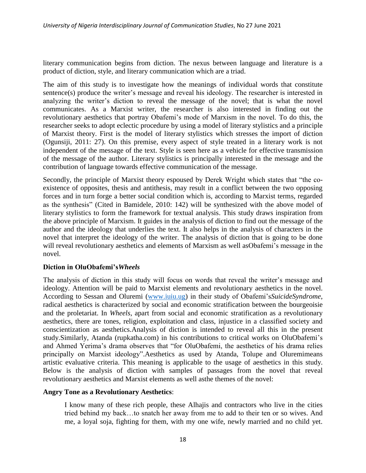literary communication begins from diction. The nexus between language and literature is a product of diction, style, and literary communication which are a triad.

The aim of this study is to investigate how the meanings of individual words that constitute sentence(s) produce the writer's message and reveal his ideology. The researcher is interested in analyzing the writer's diction to reveal the message of the novel; that is what the novel communicates. As a Marxist writer, the researcher is also interested in finding out the revolutionary aesthetics that portray Obafemi"s mode of Marxism in the novel. To do this, the researcher seeks to adopt eclectic procedure by using a model of literary stylistics and a principle of Marxist theory. First is the model of literary stylistics which stresses the import of diction (Ogunsiji, 2011: 27). On this premise, every aspect of style treated in a literary work is not independent of the message of the text. Style is seen here as a vehicle for effective transmission of the message of the author. Literary stylistics is principally interested in the message and the contribution of language towards effective communication of the message.

Secondly, the principle of Marxist theory espoused by Derek Wright which states that "the coexistence of opposites, thesis and antithesis, may result in a conflict between the two opposing forces and in turn forge a better social condition which is, according to Marxist terms, regarded as the synthesis" (Cited in Bamidele, 2010: 142) will be synthesized with the above model of literary stylistics to form the framework for textual analysis. This study draws inspiration from the above principle of Marxism. It guides in the analysis of diction to find out the message of the author and the ideology that underlies the text. It also helps in the analysis of characters in the novel that interpret the ideology of the writer. The analysis of diction that is going to be done will reveal revolutionary aesthetics and elements of Marxism as well asObafemi"s message in the novel.

### **Diction in OluObafemi's***Wheels*

The analysis of diction in this study will focus on words that reveal the writer"s message and ideology. Attention will be paid to Marxist elements and revolutionary aesthetics in the novel. According to Sessan and Oluremi [\(www.iuiu.ug\)](http://www.iuiu.ug/) in their study of Obafemi"s*SuicideSyndrome*, radical aesthetics is characterized by social and economic stratification between the bourgeoisie and the proletariat. In *Wheels*, apart from social and economic stratification as a revolutionary aesthetics, there are tones, religion, exploitation and class, injustice in a classified society and conscientization as aesthetics.Analysis of diction is intended to reveal all this in the present study.Similarly, Atanda (rupkatha.com) in his contributions to critical works on OluObafemi"s and Ahmed Yerima"s drama observes that "for OluObafemi, the aesthetics of his drama relies principally on Marxist ideology".Aesthetics as used by Atanda, Tolupe and Oluremimeans artistic evaluative criteria. This meaning is applicable to the usage of aesthetics in this study. Below is the analysis of diction with samples of passages from the novel that reveal revolutionary aesthetics and Marxist elements as well asthe themes of the novel:

### **Angry Tone as a Revolutionary Aesthetics**:

I know many of these rich people, these Alhajis and contractors who live in the cities tried behind my back…to snatch her away from me to add to their ten or so wives. And me, a loyal soja, fighting for them, with my one wife, newly married and no child yet.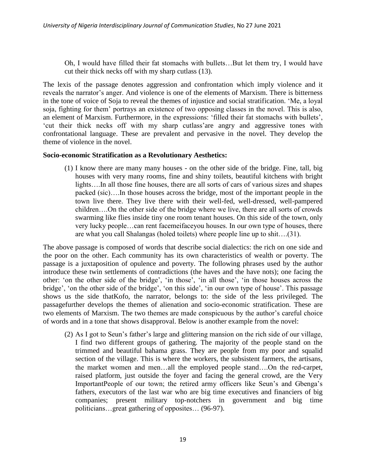Oh, I would have filled their fat stomachs with bullets…But let them try, I would have cut their thick necks off with my sharp cutlass (13).

The lexis of the passage denotes aggression and confrontation which imply violence and it reveals the narrator's anger. And violence is one of the elements of Marxism. There is bitterness in the tone of voice of Soja to reveal the themes of injustice and social stratification. "Me, a loyal soja, fighting for them" portrays an existence of two opposing classes in the novel. This is also, an element of Marxism. Furthermore, in the expressions: 'filled their fat stomachs with bullets', "cut their thick necks off with my sharp cutlass"are angry and aggressive tones with confrontational language. These are prevalent and pervasive in the novel. They develop the theme of violence in the novel.

### **Socio-economic Stratification as a Revolutionary Aesthetics:**

(1) I know there are many many houses - on the other side of the bridge. Fine, tall, big houses with very many rooms, fine and shiny toilets, beautiful kitchens with bright lights….In all those fine houses, there are all sorts of cars of various sizes and shapes packed (sic)….In those houses across the bridge, most of the important people in the town live there. They live there with their well-fed, well-dressed, well-pampered children….On the other side of the bridge where we live, there are all sorts of crowds swarming like flies inside tiny one room tenant houses. On this side of the town, only very lucky people…can rent facemeifaceyou houses. In our own type of houses, there are what you call Shalangas (holed toilets) where people line up to shit….(31).

The above passage is composed of words that describe social dialectics: the rich on one side and the poor on the other. Each community has its own characteristics of wealth or poverty. The passage is a juxtaposition of opulence and poverty. The following phrases used by the author introduce these twin settlements of contradictions (the haves and the have nots); one facing the other: 'on the other side of the bridge', 'in those', 'in all those', 'in those houses across the bridge', 'on the other side of the bridge', 'on this side', 'in our own type of house'. This passage shows us the side thatKofo, the narrator, belongs to: the side of the less privileged. The passagefurther develops the themes of alienation and socio-economic stratification. These are two elements of Marxism. The two themes are made conspicuous by the author"s careful choice of words and in a tone that shows disapproval. Below is another example from the novel:

(2) As I got to Seun"s father"s large and glittering mansion on the rich side of our village, I find two different groups of gathering. The majority of the people stand on the trimmed and beautiful bahama grass. They are people from my poor and squalid section of the village. This is where the workers, the subsistent farmers, the artisans, the market women and men…all the employed people stand….On the red-carpet, raised platform, just outside the foyer and facing the general crowd, are the Very ImportantPeople of our town; the retired army officers like Seun's and Gbenga's fathers, executors of the last war who are big time executives and financiers of big companies; present military top-notchers in government and big time politicians…great gathering of opposites… (96-97).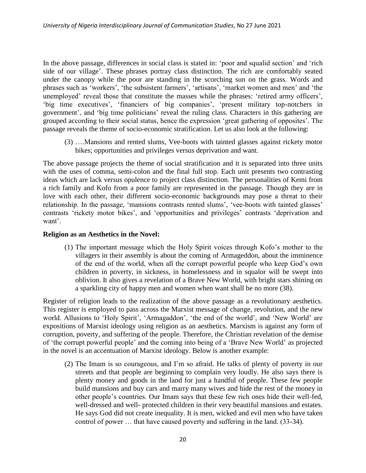In the above passage, differences in social class is stated in: 'poor and squalid section' and 'rich side of our village'. These phrases portray class distinction. The rich are comfortably seated under the canopy while the poor are standing in the scorching sun on the grass. Words and phrases such as 'workers', 'the subsistent farmers', 'artisans', 'market women and men' and 'the unemployed' reveal those that constitute the masses while the phrases: 'retired army officers', 'big time executives', 'financiers of big companies', 'present military top-notchers in government', and 'big time politicians' reveal the ruling class. Characters in this gathering are grouped according to their social status, hence the expression "great gathering of opposites". The passage reveals the theme of socio-economic stratification. Let us also look at the following:

(3) ….Mansions and rented slums, Vee-boots with tainted glasses against rickety motor bikes; opportunities and privileges versus deprivation and want.

The above passage projects the theme of social stratification and it is separated into three units with the uses of comma, semi-colon and the final full stop. Each unit presents two contrasting ideas which are lack versus opulence to project class distinction. The personalities of Kemi from a rich family and Kofo from a poor family are represented in the passage. Though they are in love with each other, their different socio-economic backgrounds may pose a threat to their relationship. In the passage, 'mansions contrasts rented slums', 'vee-boots with tainted glasses' contrasts 'rickety motor bikes', and 'opportunities and privileges' contrasts 'deprivation and want'.

#### **Religion as an Aesthetics in the Novel:**

(1) The important message which the Holy Spirit voices through Kofo"s mother to the villagers in their assembly is about the coming of Armageddon, about the imminence of the end of the world, when all the corrupt powerful people who keep God"s own children in poverty, in sickness, in homelessness and in squalor will be swept into oblivion. It also gives a revelation of a Brave New World, with bright stars shining on a sparkling city of happy men and women when want shall be no more (38).

Register of religion leads to the realization of the above passage as a revolutionary aesthetics. This register is employed to pass across the Marxist message of change, revolution, and the new world. Allusions to 'Holy Spirit', 'Armagaddon', 'the end of the world', and 'New World' are expositions of Marxist ideology using religion as an aesthetics. Marxism is against any form of corruption, poverty, and suffering of the people. Therefore, the Christian revelation of the demise of "the corrupt powerful people" and the coming into being of a "Brave New World" as projected in the novel is an accentuation of Marxist ideology. Below is another example:

(2) The Imam is so courageous, and I"m so afraid. He talks of plenty of poverty in our streets and that people are beginning to complain very loudly. He also says there is plenty money and goods in the land for just a handful of people. These few people build mansions and buy cars and marry many wives and hide the rest of the money in other people"s countries. Our Imam says that these few rich ones hide their well-fed, well-dressed and well- protected children in their very beautiful mansions and estates. He says God did not create inequality. It is men, wicked and evil men who have taken control of power … that have caused poverty and suffering in the land. (33-34).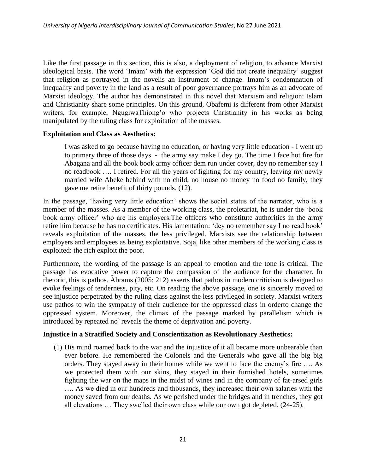Like the first passage in this section, this is also, a deployment of religion, to advance Marxist ideological basis. The word 'Imam' with the expression 'God did not create inequality' suggest that religion as portrayed in the novelis an instrument of change. Imam"s condemnation of inequality and poverty in the land as a result of poor governance portrays him as an advocate of Marxist ideology. The author has demonstrated in this novel that Marxism and religion: Islam and Christianity share some principles. On this ground, Obafemi is different from other Marxist writers, for example, NgugiwaThiong'o who projects Christianity in his works as being manipulated by the ruling class for exploitation of the masses.

### **Exploitation and Class as Aesthetics:**

I was asked to go because having no education, or having very little education - I went up to primary three of those days - the army say make I dey go. The time I face hot fire for Abagana and all the book book army officer dem run under cover, dey no remember say I no readbook …. I retired. For all the years of fighting for my country, leaving my newly married wife Abeke behind with no child, no house no money no food no family, they gave me retire benefit of thirty pounds. (12).

In the passage, 'having very little education' shows the social status of the narrator, who is a member of the masses. As a member of the working class, the proletariat, he is under the "book book army officer' who are his employers. The officers who constitute authorities in the army retire him because he has no certificates. His lamentation: "dey no remember say I no read book" reveals exploitation of the masses, the less privileged. Marxists see the relationship between employers and employees as being exploitative. Soja, like other members of the working class is exploited: the rich exploit the poor.

Furthermore, the wording of the passage is an appeal to emotion and the tone is critical. The passage has evocative power to capture the compassion of the audience for the character. In rhetoric, this is pathos. Abrams (2005: 212) asserts that pathos in modern criticism is designed to evoke feelings of tenderness, pity, etc. On reading the above passage, one is sincerely moved to see injustice perpetrated by the ruling class against the less privileged in society. Marxist writers use pathos to win the sympathy of their audience for the oppressed class in orderto change the oppressed system. Moreover, the climax of the passage marked by parallelism which is introduced by repeated no<sup>s</sup> reveals the theme of deprivation and poverty.

#### **Injustice in a Stratified Society and Conscientization as Revolutionary Aesthetics:**

(1) His mind roamed back to the war and the injustice of it all became more unbearable than ever before. He remembered the Colonels and the Generals who gave all the big big orders. They stayed away in their homes while we went to face the enemy"s fire …. As we protected them with our skins, they stayed in their furnished hotels, sometimes fighting the war on the maps in the midst of wines and in the company of fat-arsed girls …. As we died in our hundreds and thousands, they increased their own salaries with the money saved from our deaths. As we perished under the bridges and in trenches, they got all elevations … They swelled their own class while our own got depleted. (24-25).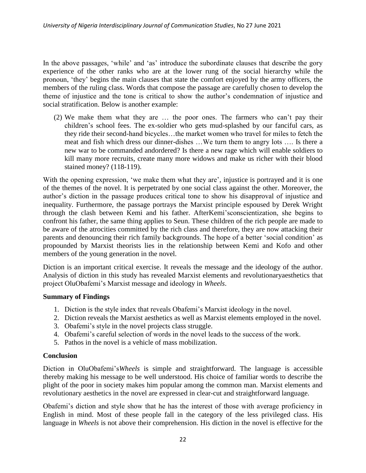In the above passages, 'while' and 'as' introduce the subordinate clauses that describe the gory experience of the other ranks who are at the lower rung of the social hierarchy while the pronoun, "they" begins the main clauses that state the comfort enjoyed by the army officers, the members of the ruling class. Words that compose the passage are carefully chosen to develop the theme of injustice and the tone is critical to show the author"s condemnation of injustice and social stratification. Below is another example:

(2) We make them what they are … the poor ones. The farmers who can"t pay their children"s school fees. The ex-soldier who gets mud-splashed by our fanciful cars, as they ride their second-hand bicycles…the market women who travel for miles to fetch the meat and fish which dress our dinner-dishes …We turn them to angry lots …. Is there a new war to be commanded andordered? Is there a new rage which will enable soldiers to kill many more recruits, create many more widows and make us richer with their blood stained money? (118-119).

With the opening expression, 'we make them what they are', injustice is portrayed and it is one of the themes of the novel. It is perpetrated by one social class against the other. Moreover, the author"s diction in the passage produces critical tone to show his disapproval of injustice and inequality. Furthermore, the passage portrays the Marxist principle espoused by Derek Wright through the clash between Kemi and his father. AfterKemi"sconscientization, she begins to confront his father, the same thing applies to Seun. These children of the rich people are made to be aware of the atrocities committed by the rich class and therefore, they are now attacking their parents and denouncing their rich family backgrounds. The hope of a better "social condition" as propounded by Marxist theorists lies in the relationship between Kemi and Kofo and other members of the young generation in the novel.

Diction is an important critical exercise. It reveals the message and the ideology of the author. Analysis of diction in this study has revealed Marxist elements and revolutionaryaesthetics that project OluObafemi"s Marxist message and ideology in *Wheels*.

# **Summary of Findings**

- 1. Diction is the style index that reveals Obafemi"s Marxist ideology in the novel.
- 2. Diction reveals the Marxist aesthetics as well as Marxist elements employed in the novel.
- 3. Obafemi"s style in the novel projects class struggle.
- 4. Obafemi"s careful selection of words in the novel leads to the success of the work.
- 5. Pathos in the novel is a vehicle of mass mobilization.

# **Conclusion**

Diction in OluObafemi"s*Wheels* is simple and straightforward. The language is accessible thereby making his message to be well understood. His choice of familiar words to describe the plight of the poor in society makes him popular among the common man. Marxist elements and revolutionary aesthetics in the novel are expressed in clear-cut and straightforward language.

Obafemi"s diction and style show that he has the interest of those with average proficiency in English in mind. Most of these people fall in the category of the less privileged class. His language in *Wheels* is not above their comprehension. His diction in the novel is effective for the